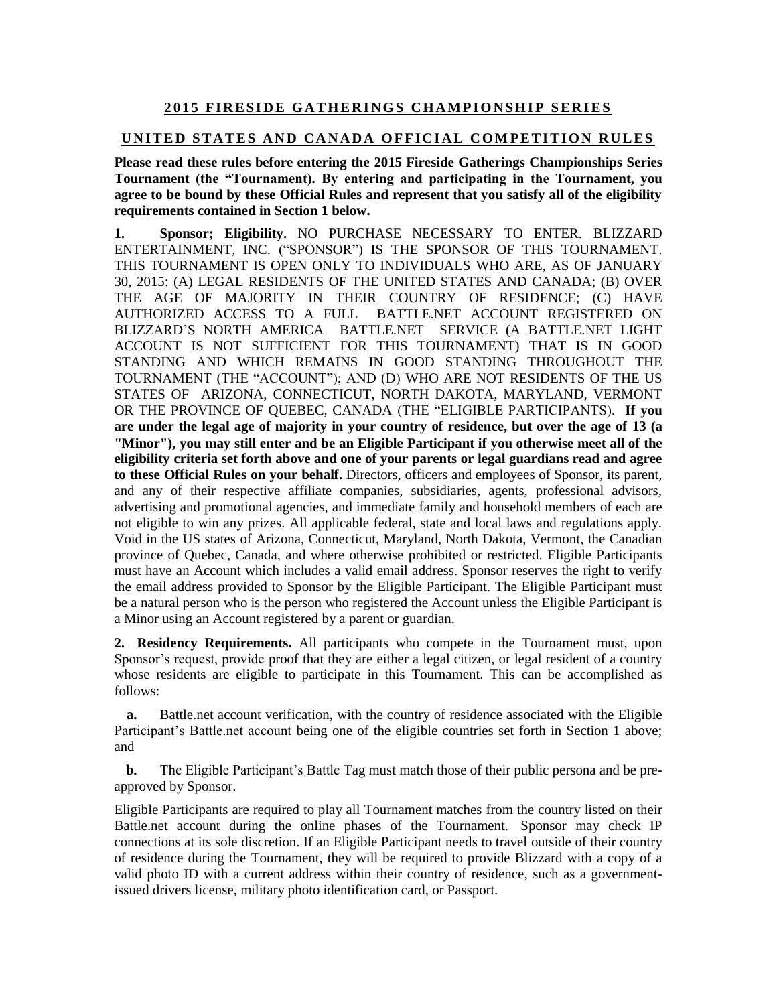## **2 0 1 5 FI R E S I D E G A T H E R I N G S C H A M P I O N S H I P SE R I E S**

## **UNITED STATES AND CANADA OFFICIAL COMPETITION RULES**

**Please read these rules before entering the 2015 Fireside Gatherings Championships Series Tournament (the "Tournament). By entering and participating in the Tournament, you agree to be bound by these Official Rules and represent that you satisfy all of the eligibility requirements contained in Section 1 below.** 

**1. Sponsor; Eligibility.** NO PURCHASE NECESSARY TO ENTER. BLIZZARD ENTERTAINMENT, INC. ("SPONSOR") IS THE SPONSOR OF THIS TOURNAMENT. THIS TOURNAMENT IS OPEN ONLY TO INDIVIDUALS WHO ARE, AS OF JANUARY 30, 2015: (A) LEGAL RESIDENTS OF THE UNITED STATES AND CANADA; (B) OVER THE AGE OF MAJORITY IN THEIR COUNTRY OF RESIDENCE; (C) HAVE AUTHORIZED ACCESS TO A FULL BATTLE.NET ACCOUNT REGISTERED ON BLIZZARD'S NORTH AMERICA BATTLE.NET SERVICE (A BATTLE.NET LIGHT ACCOUNT IS NOT SUFFICIENT FOR THIS TOURNAMENT) THAT IS IN GOOD STANDING AND WHICH REMAINS IN GOOD STANDING THROUGHOUT THE TOURNAMENT (THE "ACCOUNT"); AND (D) WHO ARE NOT RESIDENTS OF THE US STATES OF ARIZONA, CONNECTICUT, NORTH DAKOTA, MARYLAND, VERMONT OR THE PROVINCE OF QUEBEC, CANADA (THE "ELIGIBLE PARTICIPANTS). **If you are under the legal age of majority in your country of residence, but over the age of 13 (a "Minor"), you may still enter and be an Eligible Participant if you otherwise meet all of the eligibility criteria set forth above and one of your parents or legal guardians read and agree to these Official Rules on your behalf.** Directors, officers and employees of Sponsor, its parent, and any of their respective affiliate companies, subsidiaries, agents, professional advisors, advertising and promotional agencies, and immediate family and household members of each are not eligible to win any prizes. All applicable federal, state and local laws and regulations apply. Void in the US states of Arizona, Connecticut, Maryland, North Dakota, Vermont, the Canadian province of Quebec, Canada, and where otherwise prohibited or restricted. Eligible Participants must have an Account which includes a valid email address. Sponsor reserves the right to verify the email address provided to Sponsor by the Eligible Participant. The Eligible Participant must be a natural person who is the person who registered the Account unless the Eligible Participant is a Minor using an Account registered by a parent or guardian.

**2. Residency Requirements.** All participants who compete in the Tournament must, upon Sponsor's request, provide proof that they are either a legal citizen, or legal resident of a country whose residents are eligible to participate in this Tournament. This can be accomplished as follows:

**a.** Battle.net account verification, with the country of residence associated with the Eligible Participant's Battle.net account being one of the eligible countries set forth in Section 1 above; and

**b.** The Eligible Participant's Battle Tag must match those of their public persona and be preapproved by Sponsor.

Eligible Participants are required to play all Tournament matches from the country listed on their Battle.net account during the online phases of the Tournament. Sponsor may check IP connections at its sole discretion. If an Eligible Participant needs to travel outside of their country of residence during the Tournament, they will be required to provide Blizzard with a copy of a valid photo ID with a current address within their country of residence, such as a governmentissued drivers license, military photo identification card, or Passport.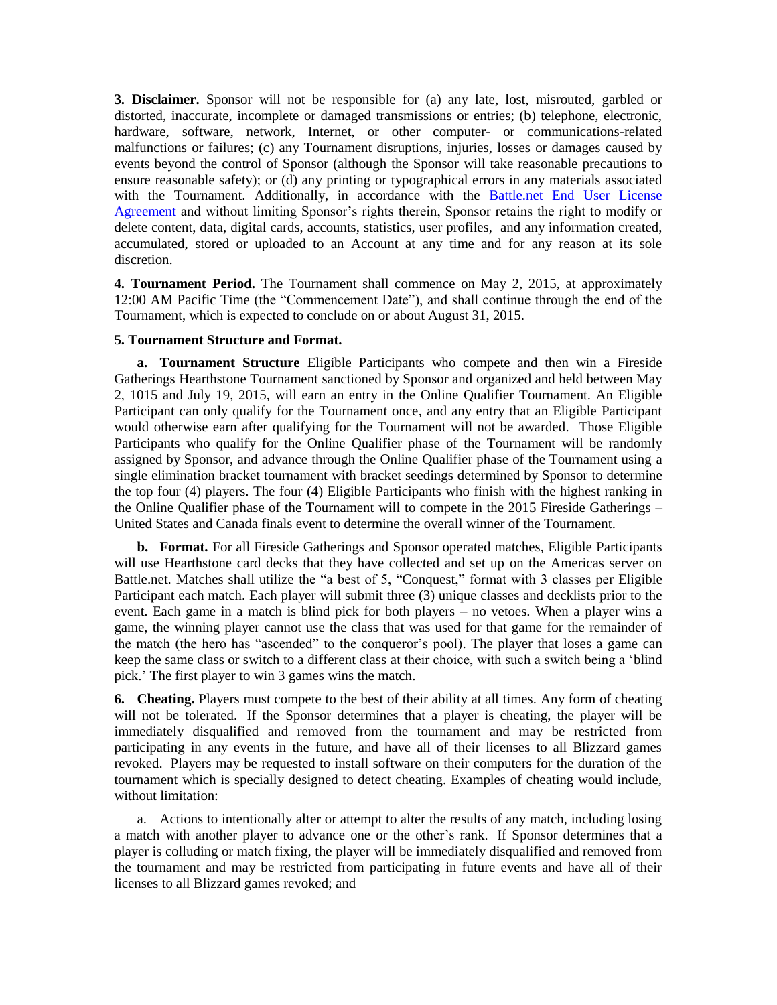**3. Disclaimer.** Sponsor will not be responsible for (a) any late, lost, misrouted, garbled or distorted, inaccurate, incomplete or damaged transmissions or entries; (b) telephone, electronic, hardware, software, network, Internet, or other computer- or communications-related malfunctions or failures; (c) any Tournament disruptions, injuries, losses or damages caused by events beyond the control of Sponsor (although the Sponsor will take reasonable precautions to ensure reasonable safety); or (d) any printing or typographical errors in any materials associated with the Tournament. Additionally, in accordance with the [Battle.net End User License](http://us.blizzard.com/en-us/company/legal/eula.html)  [Agreement](http://us.blizzard.com/en-us/company/legal/eula.html) and without limiting Sponsor's rights therein, Sponsor retains the right to modify or delete content, data, digital cards, accounts, statistics, user profiles, and any information created, accumulated, stored or uploaded to an Account at any time and for any reason at its sole discretion.

**4. Tournament Period.** The Tournament shall commence on May 2, 2015, at approximately 12:00 AM Pacific Time (the "Commencement Date"), and shall continue through the end of the Tournament, which is expected to conclude on or about August 31, 2015.

## **5. Tournament Structure and Format.**

**a. Tournament Structure** Eligible Participants who compete and then win a Fireside Gatherings Hearthstone Tournament sanctioned by Sponsor and organized and held between May 2, 1015 and July 19, 2015, will earn an entry in the Online Qualifier Tournament. An Eligible Participant can only qualify for the Tournament once, and any entry that an Eligible Participant would otherwise earn after qualifying for the Tournament will not be awarded. Those Eligible Participants who qualify for the Online Qualifier phase of the Tournament will be randomly assigned by Sponsor, and advance through the Online Qualifier phase of the Tournament using a single elimination bracket tournament with bracket seedings determined by Sponsor to determine the top four (4) players. The four (4) Eligible Participants who finish with the highest ranking in the Online Qualifier phase of the Tournament will to compete in the 2015 Fireside Gatherings – United States and Canada finals event to determine the overall winner of the Tournament.

**b. Format.** For all Fireside Gatherings and Sponsor operated matches, Eligible Participants will use Hearthstone card decks that they have collected and set up on the Americas server on Battle.net. Matches shall utilize the "a best of 5, "Conquest," format with 3 classes per Eligible Participant each match. Each player will submit three (3) unique classes and decklists prior to the event. Each game in a match is blind pick for both players – no vetoes. When a player wins a game, the winning player cannot use the class that was used for that game for the remainder of the match (the hero has "ascended" to the conqueror's pool). The player that loses a game can keep the same class or switch to a different class at their choice, with such a switch being a 'blind pick.' The first player to win 3 games wins the match.

**6. Cheating.** Players must compete to the best of their ability at all times. Any form of cheating will not be tolerated. If the Sponsor determines that a player is cheating, the player will be immediately disqualified and removed from the tournament and may be restricted from participating in any events in the future, and have all of their licenses to all Blizzard games revoked. Players may be requested to install software on their computers for the duration of the tournament which is specially designed to detect cheating. Examples of cheating would include, without limitation:

a. Actions to intentionally alter or attempt to alter the results of any match, including losing a match with another player to advance one or the other's rank. If Sponsor determines that a player is colluding or match fixing, the player will be immediately disqualified and removed from the tournament and may be restricted from participating in future events and have all of their licenses to all Blizzard games revoked; and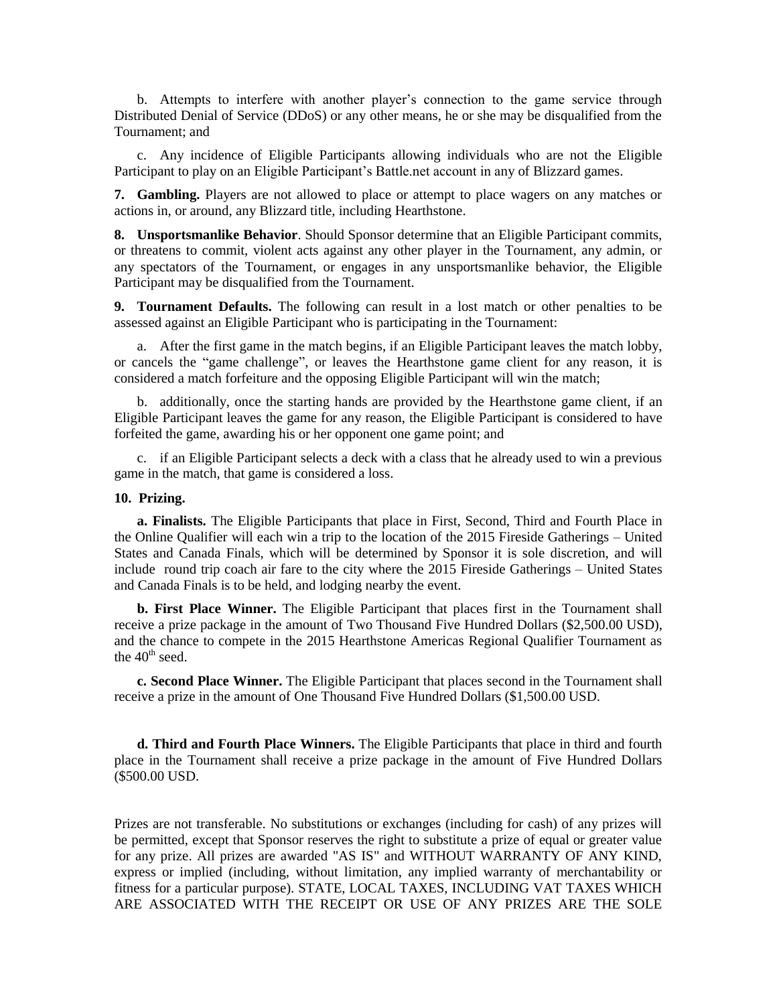b. Attempts to interfere with another player's connection to the game service through Distributed Denial of Service (DDoS) or any other means, he or she may be disqualified from the Tournament; and

c. Any incidence of Eligible Participants allowing individuals who are not the Eligible Participant to play on an Eligible Participant's Battle.net account in any of Blizzard games.

**7. Gambling.** Players are not allowed to place or attempt to place wagers on any matches or actions in, or around, any Blizzard title, including Hearthstone.

**8. Unsportsmanlike Behavior**. Should Sponsor determine that an Eligible Participant commits, or threatens to commit, violent acts against any other player in the Tournament, any admin, or any spectators of the Tournament, or engages in any unsportsmanlike behavior, the Eligible Participant may be disqualified from the Tournament.

**9. Tournament Defaults.** The following can result in a lost match or other penalties to be assessed against an Eligible Participant who is participating in the Tournament:

a. After the first game in the match begins, if an Eligible Participant leaves the match lobby, or cancels the "game challenge", or leaves the Hearthstone game client for any reason, it is considered a match forfeiture and the opposing Eligible Participant will win the match;

b. additionally, once the starting hands are provided by the Hearthstone game client, if an Eligible Participant leaves the game for any reason, the Eligible Participant is considered to have forfeited the game, awarding his or her opponent one game point; and

c. if an Eligible Participant selects a deck with a class that he already used to win a previous game in the match, that game is considered a loss.

## **10. Prizing.**

**a. Finalists.** The Eligible Participants that place in First, Second, Third and Fourth Place in the Online Qualifier will each win a trip to the location of the 2015 Fireside Gatherings – United States and Canada Finals, which will be determined by Sponsor it is sole discretion, and will include round trip coach air fare to the city where the 2015 Fireside Gatherings – United States and Canada Finals is to be held, and lodging nearby the event.

**b. First Place Winner.** The Eligible Participant that places first in the Tournament shall receive a prize package in the amount of Two Thousand Five Hundred Dollars (\$2,500.00 USD), and the chance to compete in the 2015 Hearthstone Americas Regional Qualifier Tournament as the  $40<sup>th</sup>$  seed.

**c. Second Place Winner.** The Eligible Participant that places second in the Tournament shall receive a prize in the amount of One Thousand Five Hundred Dollars (\$1,500.00 USD.

**d. Third and Fourth Place Winners.** The Eligible Participants that place in third and fourth place in the Tournament shall receive a prize package in the amount of Five Hundred Dollars (\$500.00 USD.

Prizes are not transferable. No substitutions or exchanges (including for cash) of any prizes will be permitted, except that Sponsor reserves the right to substitute a prize of equal or greater value for any prize. All prizes are awarded "AS IS" and WITHOUT WARRANTY OF ANY KIND, express or implied (including, without limitation, any implied warranty of merchantability or fitness for a particular purpose). STATE, LOCAL TAXES, INCLUDING VAT TAXES WHICH ARE ASSOCIATED WITH THE RECEIPT OR USE OF ANY PRIZES ARE THE SOLE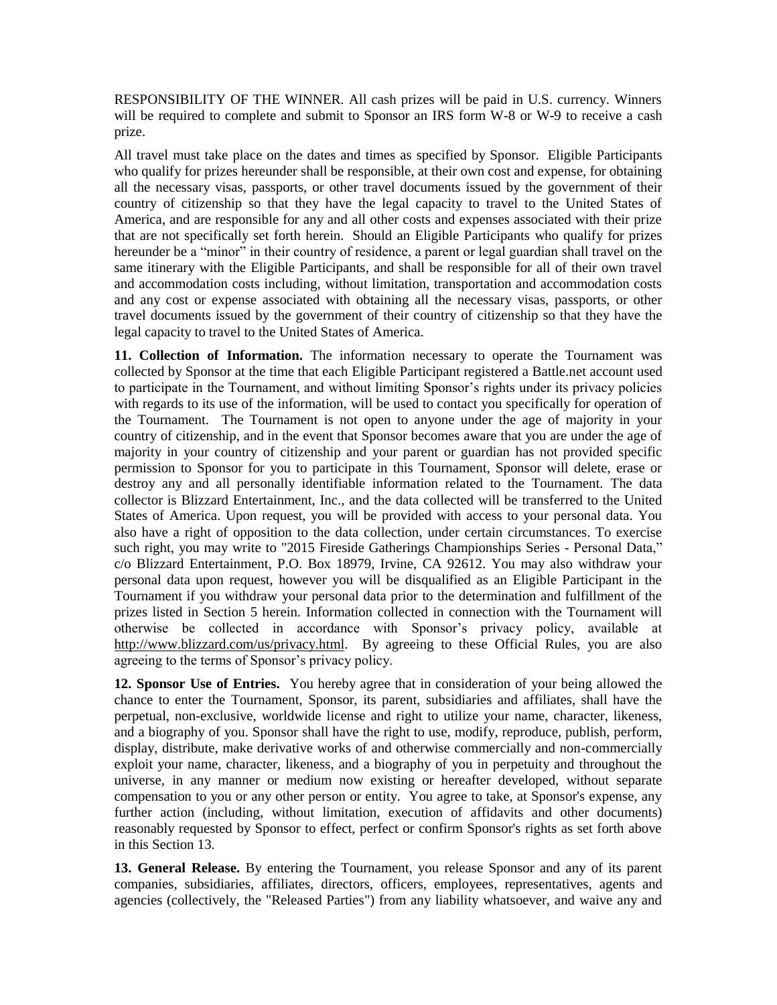RESPONSIBILITY OF THE WINNER. All cash prizes will be paid in U.S. currency. Winners will be required to complete and submit to Sponsor an IRS form W-8 or W-9 to receive a cash prize.

All travel must take place on the dates and times as specified by Sponsor. Eligible Participants who qualify for prizes hereunder shall be responsible, at their own cost and expense, for obtaining all the necessary visas, passports, or other travel documents issued by the government of their country of citizenship so that they have the legal capacity to travel to the United States of America, and are responsible for any and all other costs and expenses associated with their prize that are not specifically set forth herein. Should an Eligible Participants who qualify for prizes hereunder be a "minor" in their country of residence, a parent or legal guardian shall travel on the same itinerary with the Eligible Participants, and shall be responsible for all of their own travel and accommodation costs including, without limitation, transportation and accommodation costs and any cost or expense associated with obtaining all the necessary visas, passports, or other travel documents issued by the government of their country of citizenship so that they have the legal capacity to travel to the United States of America.

**11. Collection of Information.** The information necessary to operate the Tournament was collected by Sponsor at the time that each Eligible Participant registered a Battle.net account used to participate in the Tournament, and without limiting Sponsor's rights under its privacy policies with regards to its use of the information, will be used to contact you specifically for operation of the Tournament. The Tournament is not open to anyone under the age of majority in your country of citizenship, and in the event that Sponsor becomes aware that you are under the age of majority in your country of citizenship and your parent or guardian has not provided specific permission to Sponsor for you to participate in this Tournament, Sponsor will delete, erase or destroy any and all personally identifiable information related to the Tournament. The data collector is Blizzard Entertainment, Inc., and the data collected will be transferred to the United States of America. Upon request, you will be provided with access to your personal data. You also have a right of opposition to the data collection, under certain circumstances. To exercise such right, you may write to "2015 Fireside Gatherings Championships Series - Personal Data," c/o Blizzard Entertainment, P.O. Box 18979, Irvine, CA 92612. You may also withdraw your personal data upon request, however you will be disqualified as an Eligible Participant in the Tournament if you withdraw your personal data prior to the determination and fulfillment of the prizes listed in Section 5 herein. Information collected in connection with the Tournament will otherwise be collected in accordance with Sponsor's privacy policy, available at [http://www.blizzard.com/us/privacy.html.](http://www.blizzard.com/us/privacy.html) By agreeing to these Official Rules, you are also agreeing to the terms of Sponsor's privacy policy.

**12. Sponsor Use of Entries.** You hereby agree that in consideration of your being allowed the chance to enter the Tournament, Sponsor, its parent, subsidiaries and affiliates, shall have the perpetual, non-exclusive, worldwide license and right to utilize your name, character, likeness, and a biography of you. Sponsor shall have the right to use, modify, reproduce, publish, perform, display, distribute, make derivative works of and otherwise commercially and non-commercially exploit your name, character, likeness, and a biography of you in perpetuity and throughout the universe, in any manner or medium now existing or hereafter developed, without separate compensation to you or any other person or entity. You agree to take, at Sponsor's expense, any further action (including, without limitation, execution of affidavits and other documents) reasonably requested by Sponsor to effect, perfect or confirm Sponsor's rights as set forth above in this Section 13.

**13. General Release.** By entering the Tournament, you release Sponsor and any of its parent companies, subsidiaries, affiliates, directors, officers, employees, representatives, agents and agencies (collectively, the "Released Parties") from any liability whatsoever, and waive any and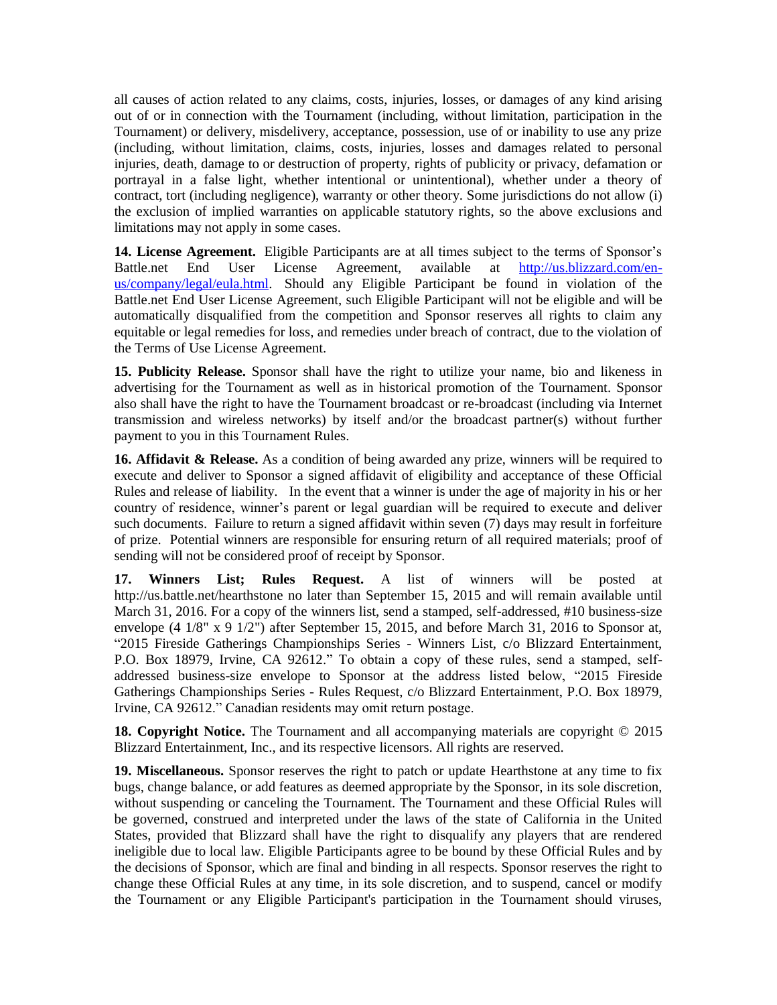all causes of action related to any claims, costs, injuries, losses, or damages of any kind arising out of or in connection with the Tournament (including, without limitation, participation in the Tournament) or delivery, misdelivery, acceptance, possession, use of or inability to use any prize (including, without limitation, claims, costs, injuries, losses and damages related to personal injuries, death, damage to or destruction of property, rights of publicity or privacy, defamation or portrayal in a false light, whether intentional or unintentional), whether under a theory of contract, tort (including negligence), warranty or other theory. Some jurisdictions do not allow (i) the exclusion of implied warranties on applicable statutory rights, so the above exclusions and limitations may not apply in some cases.

**14. License Agreement.** Eligible Participants are at all times subject to the terms of Sponsor's Battle.net End User License Agreement, available at [http://us.blizzard.com/en](http://us.blizzard.com/en-us/company/legal/eula.html)[us/company/legal/eula.html.](http://us.blizzard.com/en-us/company/legal/eula.html) Should any Eligible Participant be found in violation of the Battle.net End User License Agreement, such Eligible Participant will not be eligible and will be automatically disqualified from the competition and Sponsor reserves all rights to claim any equitable or legal remedies for loss, and remedies under breach of contract, due to the violation of the Terms of Use License Agreement.

**15. Publicity Release.** Sponsor shall have the right to utilize your name, bio and likeness in advertising for the Tournament as well as in historical promotion of the Tournament. Sponsor also shall have the right to have the Tournament broadcast or re-broadcast (including via Internet transmission and wireless networks) by itself and/or the broadcast partner(s) without further payment to you in this Tournament Rules.

**16. Affidavit & Release.** As a condition of being awarded any prize, winners will be required to execute and deliver to Sponsor a signed affidavit of eligibility and acceptance of these Official Rules and release of liability. In the event that a winner is under the age of majority in his or her country of residence, winner's parent or legal guardian will be required to execute and deliver such documents. Failure to return a signed affidavit within seven (7) days may result in forfeiture of prize. Potential winners are responsible for ensuring return of all required materials; proof of sending will not be considered proof of receipt by Sponsor.

**17. Winners List; Rules Request.** A list of winners will be posted at http://us.battle.net/hearthstone no later than September 15, 2015 and will remain available until March 31, 2016. For a copy of the winners list, send a stamped, self-addressed, #10 business-size envelope (4 1/8" x 9 1/2") after September 15, 2015, and before March 31, 2016 to Sponsor at, "2015 Fireside Gatherings Championships Series - Winners List, c/o Blizzard Entertainment, P.O. Box 18979, Irvine, CA 92612." To obtain a copy of these rules, send a stamped, selfaddressed business-size envelope to Sponsor at the address listed below, "2015 Fireside Gatherings Championships Series - Rules Request, c/o Blizzard Entertainment, P.O. Box 18979, Irvine, CA 92612." Canadian residents may omit return postage.

**18. Copyright Notice.** The Tournament and all accompanying materials are copyright  $\odot$  2015 Blizzard Entertainment, Inc., and its respective licensors. All rights are reserved.

**19. Miscellaneous.** Sponsor reserves the right to patch or update Hearthstone at any time to fix bugs, change balance, or add features as deemed appropriate by the Sponsor, in its sole discretion, without suspending or canceling the Tournament. The Tournament and these Official Rules will be governed, construed and interpreted under the laws of the state of California in the United States, provided that Blizzard shall have the right to disqualify any players that are rendered ineligible due to local law. Eligible Participants agree to be bound by these Official Rules and by the decisions of Sponsor, which are final and binding in all respects. Sponsor reserves the right to change these Official Rules at any time, in its sole discretion, and to suspend, cancel or modify the Tournament or any Eligible Participant's participation in the Tournament should viruses,